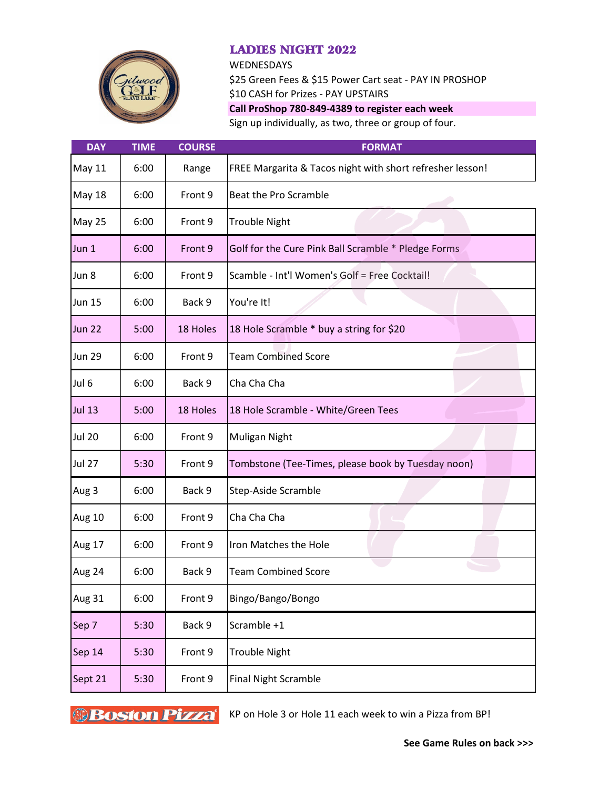

## LADIES NIGHT 2022

**WEDNESDAYS** 

\$25 Green Fees & \$15 Power Cart seat - PAY IN PROSHOP \$10 CASH for Prizes - PAY UPSTAIRS **Call ProShop 780-849-4389 to register each week**

Sign up individually, as two, three or group of four.

| <b>DAY</b>       | <b>TIME</b> | <b>COURSE</b> | <b>FORMAT</b>                                             |
|------------------|-------------|---------------|-----------------------------------------------------------|
| <b>May 11</b>    | 6:00        | Range         | FREE Margarita & Tacos night with short refresher lesson! |
| <b>May 18</b>    | 6:00        | Front 9       | Beat the Pro Scramble                                     |
| <b>May 25</b>    | 6:00        | Front 9       | <b>Trouble Night</b>                                      |
| Jun <sub>1</sub> | 6:00        | Front 9       | Golf for the Cure Pink Ball Scramble * Pledge Forms       |
| Jun 8            | 6:00        | Front 9       | Scamble - Int'l Women's Golf = Free Cocktail!             |
| <b>Jun 15</b>    | 6:00        | Back 9        | You're It!                                                |
| <b>Jun 22</b>    | 5:00        | 18 Holes      | 18 Hole Scramble * buy a string for \$20                  |
| <b>Jun 29</b>    | 6:00        | Front 9       | <b>Team Combined Score</b>                                |
| Jul 6            | 6:00        | Back 9        | Cha Cha Cha                                               |
| <b>Jul 13</b>    | 5:00        | 18 Holes      | 18 Hole Scramble - White/Green Tees                       |
| <b>Jul 20</b>    | 6:00        | Front 9       | Muligan Night                                             |
| <b>Jul 27</b>    | 5:30        | Front 9       | Tombstone (Tee-Times, please book by Tuesday noon)        |
| Aug 3            | 6:00        | Back 9        | Step-Aside Scramble                                       |
| <b>Aug 10</b>    | 6:00        | Front 9       | Cha Cha Cha                                               |
| <b>Aug 17</b>    | 6:00        | Front 9       | Iron Matches the Hole                                     |
| Aug 24           | 6:00        | Back 9        | <b>Team Combined Score</b>                                |
| Aug 31           | 6:00        | Front 9       | Bingo/Bango/Bongo                                         |
| Sep 7            | 5:30        | Back 9        | Scramble +1                                               |
| Sep 14           | 5:30        | Front 9       | <b>Trouble Night</b>                                      |
| Sept 21          | 5:30        | Front 9       | <b>Final Night Scramble</b>                               |

**Boston Pizza** KP on Hole 3 or Hole 11 each week to win a Pizza from BP!